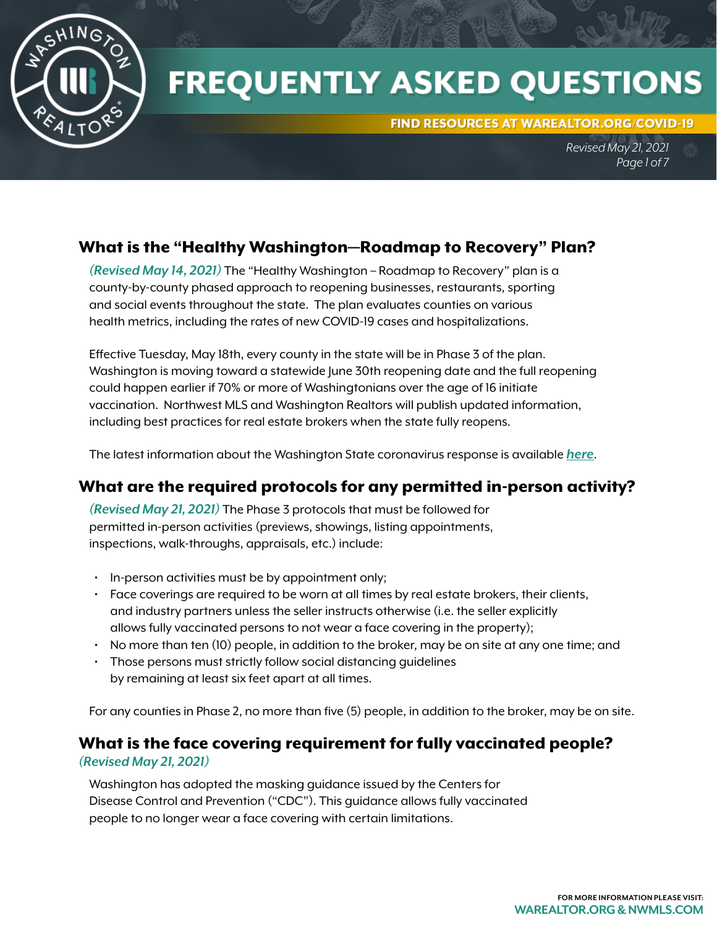

# **FREQUENTLY ASKED QUESTIONS**

FIND RESOURCES AT WAREALTOR.ORG/COVID-19

*Revised May 21, 2021 Page 1 of 7*

# What is the "Healthy Washington—Roadmap to Recovery" Plan?

*(Revised May 14, 2021)* The "Healthy Washington – Roadmap to Recovery" plan is a county-by-county phased approach to reopening businesses, restaurants, sporting and social events throughout the state. The plan evaluates counties on various health metrics, including the rates of new COVID-19 cases and hospitalizations.

Effective Tuesday, May 18th, every county in the state will be in Phase 3 of the plan. Washington is moving toward a statewide June 30th reopening date and the full reopening could happen earlier if 70% or more of Washingtonians over the age of 16 initiate vaccination. Northwest MLS and Washington Realtors will publish updated information, including best practices for real estate brokers when the state fully reopens.

The latest information about the Washington State coronavirus response is available *[here](https://coronavirus.wa.gov/)*.

# What are the required protocols for any permitted in-person activity?

*(Revised May 21, 2021)* The Phase 3 protocols that must be followed for permitted in-person activities (previews, showings, listing appointments, inspections, walk-throughs, appraisals, etc.) include:

- In-person activities must be by appointment only;
- Face coverings are required to be worn at all times by real estate brokers, their clients, and industry partners unless the seller instructs otherwise (i.e. the seller explicitly allows fully vaccinated persons to not wear a face covering in the property);
- No more than ten (10) people, in addition to the broker, may be on site at any one time; and
- Those persons must strictly follow social distancing guidelines by remaining at least six feet apart at all times.

For any counties in Phase 2, no more than five (5) people, in addition to the broker, may be on site.

# What is the face covering requirement for fully vaccinated people?

#### *(Revised May 21, 2021)*

Washington has adopted the masking guidance issued by the Centers for Disease Control and Prevention ("CDC"). This guidance allows fully vaccinated people to no longer wear a face covering with certain limitations.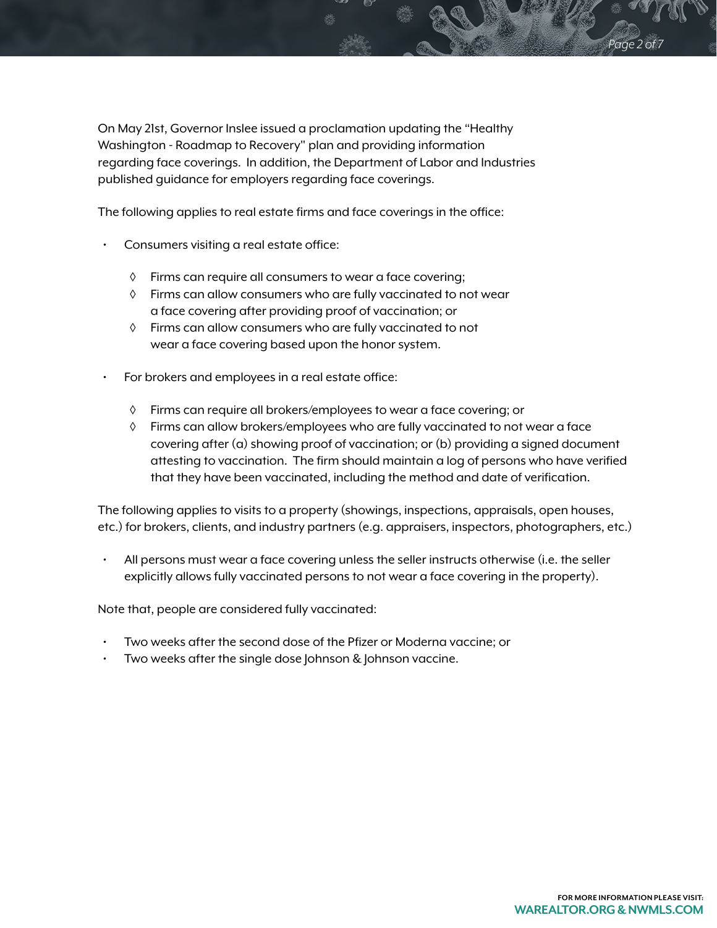On May 21st, Governor Inslee issued a proclamation updating the "Healthy Washington - Roadmap to Recovery" plan and providing information regarding face coverings. In addition, the Department of Labor and Industries published guidance for employers regarding face coverings.

The following applies to real estate firms and face coverings in the office:

- Consumers visiting a real estate office:
	- ◊ Firms can require all consumers to wear a face covering;
	- ◊ Firms can allow consumers who are fully vaccinated to not wear a face covering after providing proof of vaccination; or
	- ◊ Firms can allow consumers who are fully vaccinated to not wear a face covering based upon the honor system.
- For brokers and employees in a real estate office:
	- ◊ Firms can require all brokers/employees to wear a face covering; or
	- ◊ Firms can allow brokers/employees who are fully vaccinated to not wear a face covering after (a) showing proof of vaccination; or (b) providing a signed document attesting to vaccination. The firm should maintain a log of persons who have verified that they have been vaccinated, including the method and date of verification.

The following applies to visits to a property (showings, inspections, appraisals, open houses, etc.) for brokers, clients, and industry partners (e.g. appraisers, inspectors, photographers, etc.)

• All persons must wear a face covering unless the seller instructs otherwise (i.e. the seller explicitly allows fully vaccinated persons to not wear a face covering in the property).

Note that, people are considered fully vaccinated:

- Two weeks after the second dose of the Pfizer or Moderna vaccine; or
- Two weeks after the single dose Johnson & Johnson vaccine.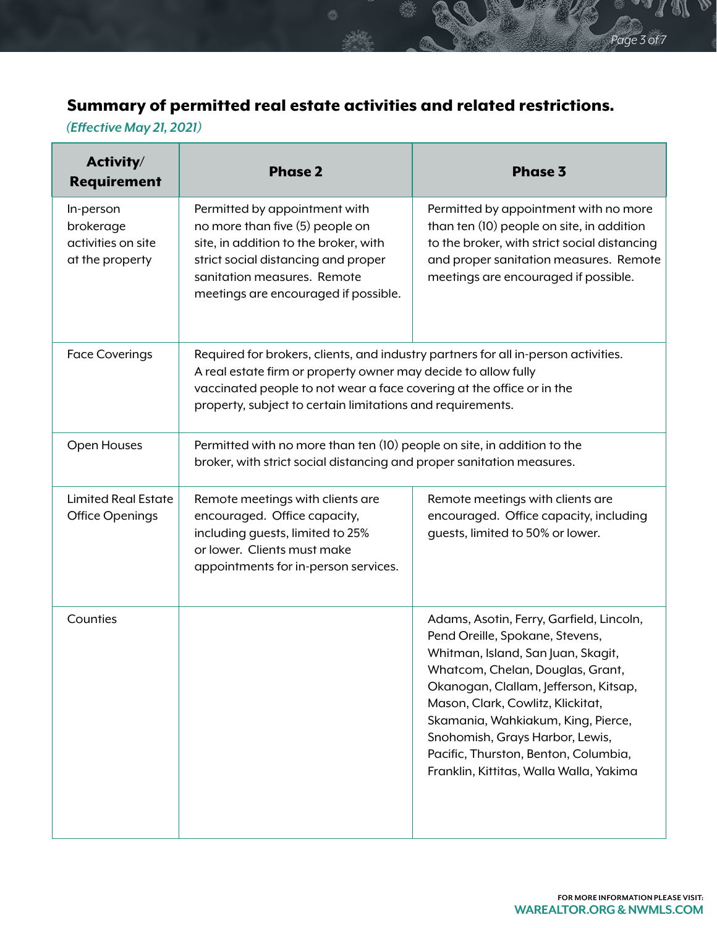V

# Summary of permitted real estate activities and related restrictions.

## *(Effective May 21, 2021)*

| Activity/<br><b>Requirement</b>                                 | <b>Phase 2</b>                                                                                                                                                                                                                                                                              | <b>Phase 3</b>                                                                                                                                                                                                                                                                                                                                                                                  |
|-----------------------------------------------------------------|---------------------------------------------------------------------------------------------------------------------------------------------------------------------------------------------------------------------------------------------------------------------------------------------|-------------------------------------------------------------------------------------------------------------------------------------------------------------------------------------------------------------------------------------------------------------------------------------------------------------------------------------------------------------------------------------------------|
| In-person<br>brokerage<br>activities on site<br>at the property | Permitted by appointment with<br>no more than five (5) people on<br>site, in addition to the broker, with<br>strict social distancing and proper<br>sanitation measures. Remote<br>meetings are encouraged if possible.                                                                     | Permitted by appointment with no more<br>than ten (10) people on site, in addition<br>to the broker, with strict social distancing<br>and proper sanitation measures. Remote<br>meetings are encouraged if possible.                                                                                                                                                                            |
| <b>Face Coverings</b>                                           | Required for brokers, clients, and industry partners for all in-person activities.<br>A real estate firm or property owner may decide to allow fully<br>vaccinated people to not wear a face covering at the office or in the<br>property, subject to certain limitations and requirements. |                                                                                                                                                                                                                                                                                                                                                                                                 |
| Open Houses                                                     | Permitted with no more than ten (10) people on site, in addition to the<br>broker, with strict social distancing and proper sanitation measures.                                                                                                                                            |                                                                                                                                                                                                                                                                                                                                                                                                 |
| <b>Limited Real Estate</b><br><b>Office Openings</b>            | Remote meetings with clients are<br>encouraged. Office capacity,<br>including guests, limited to 25%<br>or lower. Clients must make<br>appointments for in-person services.                                                                                                                 | Remote meetings with clients are<br>encouraged. Office capacity, including<br>guests, limited to 50% or lower.                                                                                                                                                                                                                                                                                  |
| Counties                                                        |                                                                                                                                                                                                                                                                                             | Adams, Asotin, Ferry, Garfield, Lincoln,<br>Pend Oreille, Spokane, Stevens,<br>Whitman, Island, San Juan, Skagit,<br>Whatcom, Chelan, Douglas, Grant,<br>Okanogan, Clallam, Jefferson, Kitsap,<br>Mason, Clark, Cowlitz, Klickitat,<br>Skamania, Wahkiakum, King, Pierce,<br>Snohomish, Grays Harbor, Lewis,<br>Pacific, Thurston, Benton, Columbia,<br>Franklin, Kittitas, Walla Walla, Yakima |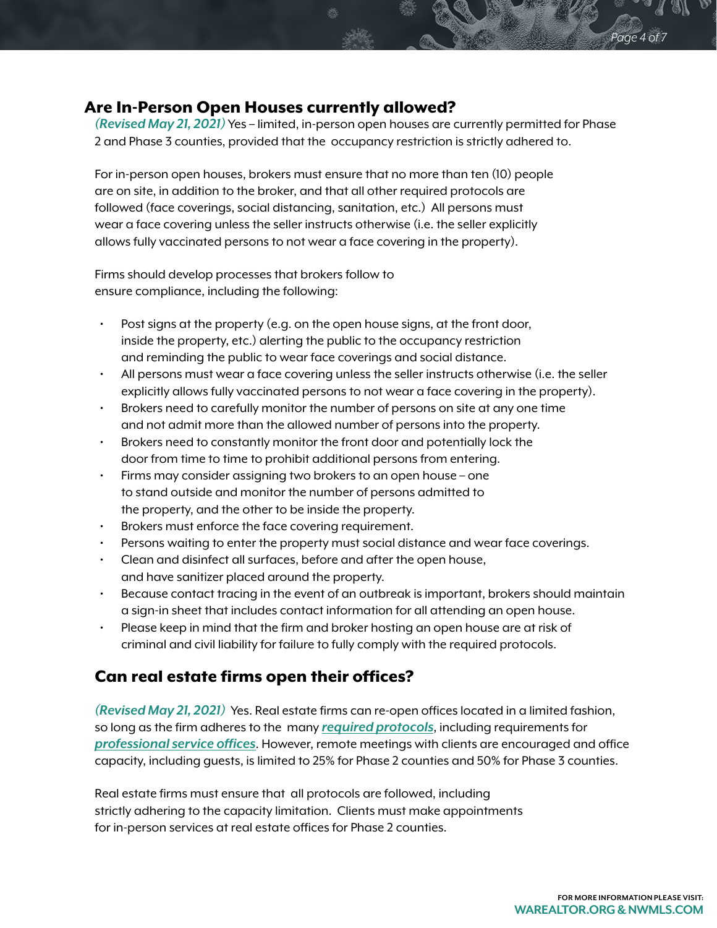#### Are In-Person Open Houses currently allowed?

*(Revised May 21, 2021)* Yes – limited, in-person open houses are currently permitted for Phase 2 and Phase 3 counties, provided that the occupancy restriction is strictly adhered to.

For in-person open houses, brokers must ensure that no more than ten (10) people are on site, in addition to the broker, and that all other required protocols are followed (face coverings, social distancing, sanitation, etc.) All persons must wear a face covering unless the seller instructs otherwise (i.e. the seller explicitly allows fully vaccinated persons to not wear a face covering in the property).

Firms should develop processes that brokers follow to ensure compliance, including the following:

- Post signs at the property (e.g. on the open house signs, at the front door, inside the property, etc.) alerting the public to the occupancy restriction and reminding the public to wear face coverings and social distance.
- All persons must wear a face covering unless the seller instructs otherwise (i.e. the seller explicitly allows fully vaccinated persons to not wear a face covering in the property).
- Brokers need to carefully monitor the number of persons on site at any one time and not admit more than the allowed number of persons into the property.
- Brokers need to constantly monitor the front door and potentially lock the door from time to time to prohibit additional persons from entering.
- Firms may consider assigning two brokers to an open house one to stand outside and monitor the number of persons admitted to the property, and the other to be inside the property.
- Brokers must enforce the face covering requirement.
- Persons waiting to enter the property must social distance and wear face coverings.
- Clean and disinfect all surfaces, before and after the open house, and have sanitizer placed around the property.
- Because contact tracing in the event of an outbreak is important, brokers should maintain a sign-in sheet that includes contact information for all attending an open house.
- Please keep in mind that the firm and broker hosting an open house are at risk of criminal and civil liability for failure to fully comply with the required protocols.

### Can real estate firms open their offices?

*(Revised May 21, 2021)* Yes. Real estate firms can re-open offices located in a limited fashion, so long as the firm adheres to the many *[required protocols](https://www.governor.wa.gov/sites/default/files/COVID19Phase2RealEstateGuidelines.pdf)*, including requirements for *[professional service offices](https://www.governor.wa.gov/sites/default/files/COVID19Phase2ProfessionalServicesGuidance.pdf?utm_medium=email&utm_source=govdelivery)*. However, remote meetings with clients are encouraged and office capacity, including guests, is limited to 25% for Phase 2 counties and 50% for Phase 3 counties.

Real estate firms must ensure that all protocols are followed, including strictly adhering to the capacity limitation. Clients must make appointments for in-person services at real estate offices for Phase 2 counties.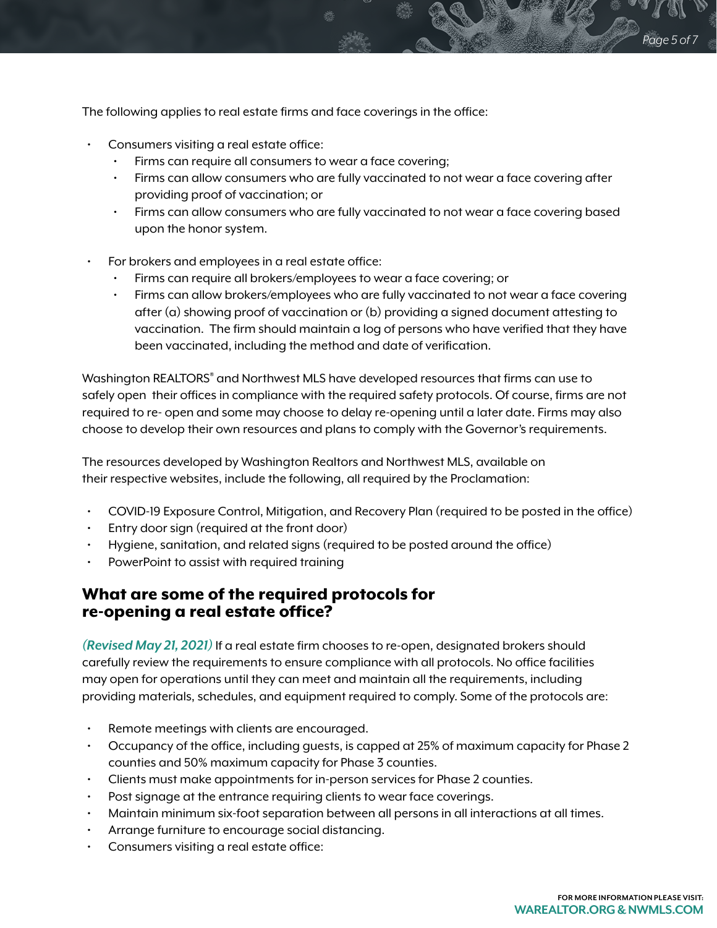The following applies to real estate firms and face coverings in the office:

- Consumers visiting a real estate office:
	- Firms can require all consumers to wear a face covering;
	- Firms can allow consumers who are fully vaccinated to not wear a face covering after providing proof of vaccination; or
	- Firms can allow consumers who are fully vaccinated to not wear a face covering based upon the honor system.
- For brokers and employees in a real estate office:
	- Firms can require all brokers/employees to wear a face covering; or
	- Firms can allow brokers/employees who are fully vaccinated to not wear a face covering after (a) showing proof of vaccination or (b) providing a signed document attesting to vaccination. The firm should maintain a log of persons who have verified that they have been vaccinated, including the method and date of verification.

Washington REALTORS® and Northwest MLS have developed resources that firms can use to safely open their offices in compliance with the required safety protocols. Of course, firms are not required to re- open and some may choose to delay re-opening until a later date. Firms may also choose to develop their own resources and plans to comply with the Governor's requirements.

The resources developed by Washington Realtors and Northwest MLS, available on their respective websites, include the following, all required by the Proclamation:

- COVID-19 Exposure Control, Mitigation, and Recovery Plan (required to be posted in the office)
- Entry door sign (required at the front door)
- Hygiene, sanitation, and related signs (required to be posted around the office)
- PowerPoint to assist with required training

#### What are some of the required protocols for re-opening a real estate office?

*(Revised May 21, 2021)* If a real estate firm chooses to re-open, designated brokers should carefully review the requirements to ensure compliance with all protocols. No office facilities may open for operations until they can meet and maintain all the requirements, including providing materials, schedules, and equipment required to comply. Some of the protocols are:

- Remote meetings with clients are encouraged.
- Occupancy of the office, including guests, is capped at 25% of maximum capacity for Phase 2 counties and 50% maximum capacity for Phase 3 counties.
- Clients must make appointments for in-person services for Phase 2 counties.
- Post signage at the entrance requiring clients to wear face coverings.
- Maintain minimum six-foot separation between all persons in all interactions at all times.
- Arrange furniture to encourage social distancing.
- Consumers visiting a real estate office: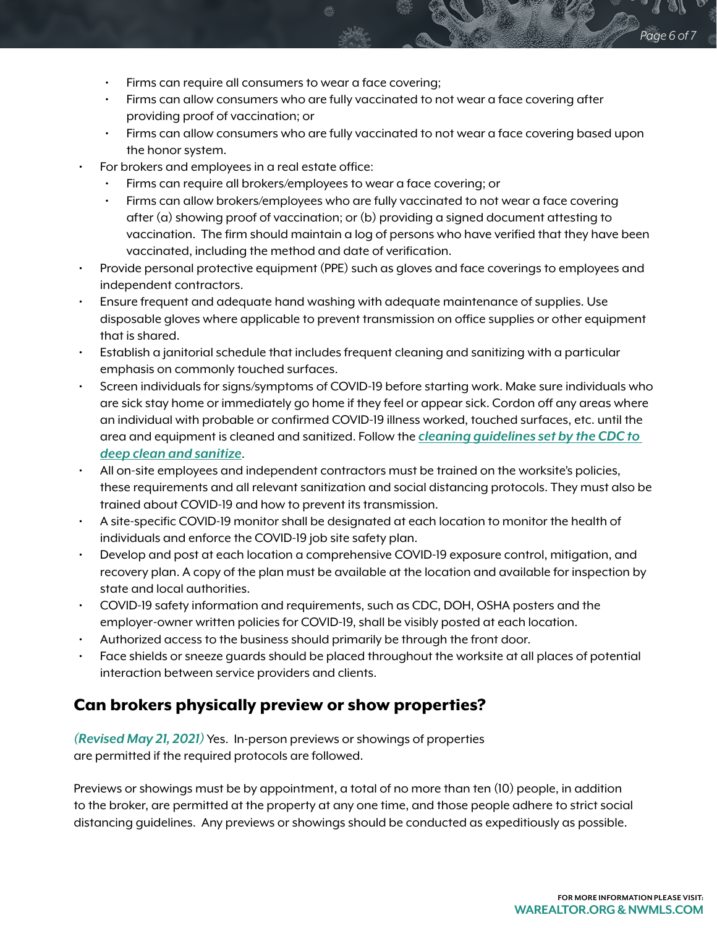- Firms can require all consumers to wear a face covering;
- Firms can allow consumers who are fully vaccinated to not wear a face covering after providing proof of vaccination; or
- Firms can allow consumers who are fully vaccinated to not wear a face covering based upon the honor system.
- For brokers and employees in a real estate office:
	- Firms can require all brokers/employees to wear a face covering; or
	- Firms can allow brokers/employees who are fully vaccinated to not wear a face covering after (a) showing proof of vaccination; or (b) providing a signed document attesting to vaccination. The firm should maintain a log of persons who have verified that they have been vaccinated, including the method and date of verification.
- Provide personal protective equipment (PPE) such as gloves and face coverings to employees and independent contractors.
- Ensure frequent and adequate hand washing with adequate maintenance of supplies. Use disposable gloves where applicable to prevent transmission on office supplies or other equipment that is shared.
- Establish a janitorial schedule that includes frequent cleaning and sanitizing with a particular emphasis on commonly touched surfaces.
- Screen individuals for signs/symptoms of COVID-19 before starting work. Make sure individuals who are sick stay home or immediately go home if they feel or appear sick. Cordon off any areas where an individual with probable or confirmed COVID-19 illness worked, touched surfaces, etc. until the area and equipment is cleaned and sanitized. Follow the *[cleaning guidelines set by the CDC to](https://www.cdc.gov/coronavirus/2019-ncov/community/disinfecting-building-facility.html)  [deep clean and sanitize](https://www.cdc.gov/coronavirus/2019-ncov/community/disinfecting-building-facility.html)*.
- All on-site employees and independent contractors must be trained on the worksite's policies, these requirements and all relevant sanitization and social distancing protocols. They must also be trained about COVID-19 and how to prevent its transmission.
- A site-specific COVID-19 monitor shall be designated at each location to monitor the health of individuals and enforce the COVID-19 job site safety plan.
- Develop and post at each location a comprehensive COVID-19 exposure control, mitigation, and recovery plan. A copy of the plan must be available at the location and available for inspection by state and local authorities.
- COVID-19 safety information and requirements, such as CDC, DOH, OSHA posters and the employer-owner written policies for COVID-19, shall be visibly posted at each location.
- Authorized access to the business should primarily be through the front door.
- Face shields or sneeze guards should be placed throughout the worksite at all places of potential interaction between service providers and clients.

#### Can brokers physically preview or show properties?

*(Revised May 21, 2021)* Yes. In-person previews or showings of properties are permitted if the required protocols are followed.

Previews or showings must be by appointment, a total of no more than ten (10) people, in addition to the broker, are permitted at the property at any one time, and those people adhere to strict social distancing guidelines. Any previews or showings should be conducted as expeditiously as possible.